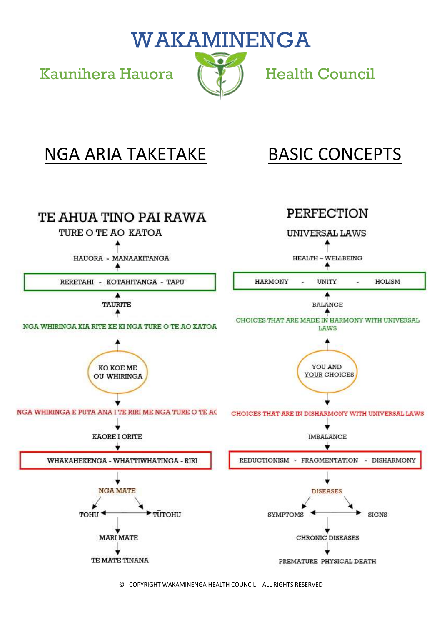Kaunihera Hauora (NET) Health Council



# NGA ARIA TAKETAKE BASIC CONCEPTS



© COPYRIGHT WAKAMINENGA HEALTH COUNCIL – ALL RIGHTS RESERVED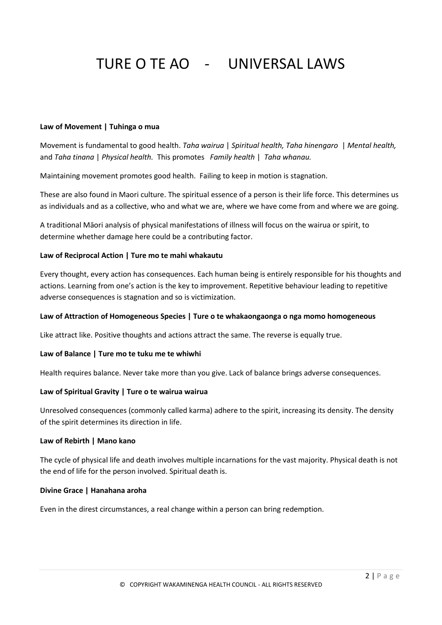## TURE O TE AO - UNIVERSAL LAWS

#### **Law of Movement | Tuhinga o mua**

Movement is fundamental to good health. *Taha wairua* | *Spiritual health, Taha hinengaro* | *Mental health,* and *Taha tinana* | *Physical health.* This promotes *Family health* | *Taha whanau.* 

Maintaining movement promotes good health. Failing to keep in motion is stagnation.

These are also found in Maori culture. The spiritual essence of a person is their life force. This determines us as individuals and as a collective, who and what we are, where we have come from and where we are going.

A traditional Māori analysis of physical manifestations of illness will focus on the wairua or spirit, to determine whether damage here could be a contributing factor.

#### **Law of Reciprocal Action | Ture mo te mahi whakautu**

Every thought, every action has consequences. Each human being is entirely responsible for his thoughts and actions. Learning from one's action is the key to improvement. Repetitive behaviour leading to repetitive adverse consequences is stagnation and so is victimization.

#### **Law of Attraction of Homogeneous Species | Ture o te whakaongaonga o nga momo homogeneous**

Like attract like. Positive thoughts and actions attract the same. The reverse is equally true.

#### **Law of Balance | Ture mo te tuku me te whiwhi**

Health requires balance. Never take more than you give. Lack of balance brings adverse consequences.

#### **Law of Spiritual Gravity | Ture o te wairua wairua**

Unresolved consequences (commonly called karma) adhere to the spirit, increasing its density. The density of the spirit determines its direction in life.

#### **Law of Rebirth | Mano kano**

The cycle of physical life and death involves multiple incarnations for the vast majority. Physical death is not the end of life for the person involved. Spiritual death is.

#### **Divine Grace | Hanahana aroha**

Even in the direst circumstances, a real change within a person can bring redemption.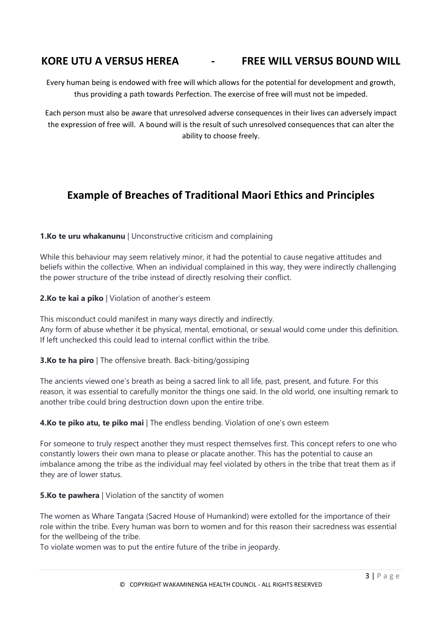### **KORE UTU A VERSUS HEREA - FREE WILL VERSUS BOUND WILL**

Every human being is endowed with free will which allows for the potential for development and growth, thus providing a path towards Perfection. The exercise of free will must not be impeded.

Each person must also be aware that unresolved adverse consequences in their lives can adversely impact the expression of free will. A bound will is the result of such unresolved consequences that can alter the ability to choose freely.

## **Example of Breaches of Traditional Maori Ethics and Principles**

**1.Ko te uru whakanunu** | Unconstructive criticism and complaining

While this behaviour may seem relatively minor, it had the potential to cause negative attitudes and beliefs within the collective. When an individual complained in this way, they were indirectly challenging the power structure of the tribe instead of directly resolving their conflict.

**2.Ko te kai a piko** | Violation of another's esteem

This misconduct could manifest in many ways directly and indirectly. Any form of abuse whether it be physical, mental, emotional, or sexual would come under this definition. If left unchecked this could lead to internal conflict within the tribe.

**3.Ko te ha piro** | The offensive breath. Back-biting/gossiping

The ancients viewed one's breath as being a sacred link to all life, past, present, and future. For this reason, it was essential to carefully monitor the things one said. In the old world, one insulting remark to another tribe could bring destruction down upon the entire tribe.

**4.Ko te piko atu, te piko mai** | The endless bending. Violation of one's own esteem

For someone to truly respect another they must respect themselves first. This concept refers to one who constantly lowers their own mana to please or placate another. This has the potential to cause an imbalance among the tribe as the individual may feel violated by others in the tribe that treat them as if they are of lower status.

**5.Ko te pawhera** | Violation of the sanctity of women

The women as Whare Tangata (Sacred House of Humankind) were extolled for the importance of their role within the tribe. Every human was born to women and for this reason their sacredness was essential for the wellbeing of the tribe.

To violate women was to put the entire future of the tribe in jeopardy.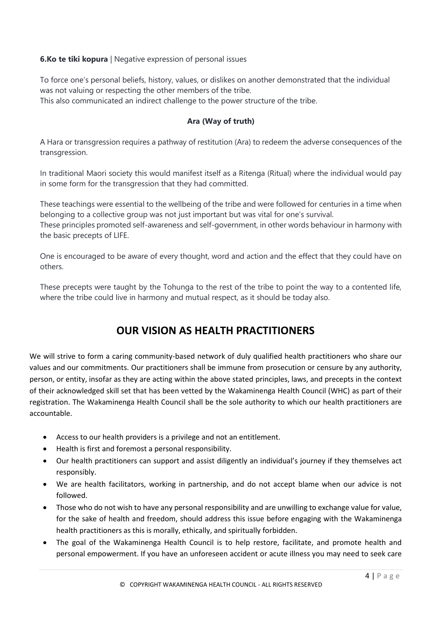#### **6.Ko te tiki kopura** | Negative expression of personal issues

To force one's personal beliefs, history, values, or dislikes on another demonstrated that the individual was not valuing or respecting the other members of the tribe.

This also communicated an indirect challenge to the power structure of the tribe.

#### **Ara (Way of truth)**

A Hara or transgression requires a pathway of restitution (Ara) to redeem the adverse consequences of the transgression.

In traditional Maori society this would manifest itself as a Ritenga (Ritual) where the individual would pay in some form for the transgression that they had committed.

These teachings were essential to the wellbeing of the tribe and were followed for centuries in a time when belonging to a collective group was not just important but was vital for one's survival.

These principles promoted self-awareness and self-government, in other words behaviour in harmony with the basic precepts of LIFE.

One is encouraged to be aware of every thought, word and action and the effect that they could have on others.

These precepts were taught by the Tohunga to the rest of the tribe to point the way to a contented life, where the tribe could live in harmony and mutual respect, as it should be today also.

## **OUR VISION AS HEALTH PRACTITIONERS**

We will strive to form a caring community-based network of duly qualified health practitioners who share our values and our commitments. Our practitioners shall be immune from prosecution or censure by any authority, person, or entity, insofar as they are acting within the above stated principles, laws, and precepts in the context of their acknowledged skill set that has been vetted by the Wakaminenga Health Council (WHC) as part of their registration. The Wakaminenga Health Council shall be the sole authority to which our health practitioners are accountable.

- Access to our health providers is a privilege and not an entitlement.
- Health is first and foremost a personal responsibility.
- Our health practitioners can support and assist diligently an individual's journey if they themselves act responsibly.
- We are health facilitators, working in partnership, and do not accept blame when our advice is not followed.
- Those who do not wish to have any personal responsibility and are unwilling to exchange value for value, for the sake of health and freedom, should address this issue before engaging with the Wakaminenga health practitioners as this is morally, ethically, and spiritually forbidden.
- The goal of the Wakaminenga Health Council is to help restore, facilitate, and promote health and personal empowerment. If you have an unforeseen accident or acute illness you may need to seek care